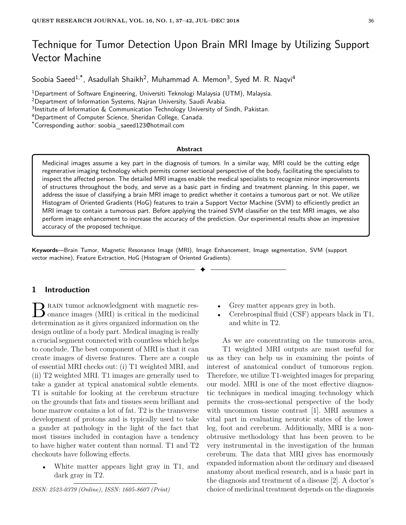# Technique for Tumor Detection Upon Brain MRI Image by Utilizing Support Vector Machine

Soobia Saeed $^{1,*}$ , Asadullah Shaikh $^2$ , Muhammad A. Memon $^3$ , Syed M. R. Naqvi $^4$ 

<sup>1</sup>Department of Software Engineering, Universiti Teknologi Malaysia (UTM), Malaysia.

<sup>2</sup>Department of Information Systems, Najran University, Saudi Arabia.

<sup>3</sup>Institute of Information & Communication Technology University of Sindh, Pakistan.

<sup>4</sup>Department of Computer Science, Sheridan College, Canada.

\*Corresponding author: soobia saeed123@hotmail.com

#### **Abstract**

Medicinal images assume a key part in the diagnosis of tumors. In a similar way, MRI could be the cutting edge regenerative imaging technology which permits corner sectional perspective of the body, facilitating the specialists to inspect the affected person. The detailed MRI images enable the medical specialists to recognize minor improvements of structures throughout the body, and serve as a basic part in finding and treatment planning. In this paper, we address the issue of classifying a brain MRI image to predict whether it contains a tumorous part or not. We utilize Histogram of Oriented Gradients (HoG) features to train a Support Vector Machine (SVM) to efficiently predict an MRI image to contain a tumorous part. Before applying the trained SVM classifier on the test MRI images, we also perform image enhancement to increase the accuracy of the prediction. Our experimental results show an impressive accuracy of the proposed technique.

✦

**Keywords**—Brain Tumor, Magnetic Resonance Image (MRI), Image Enhancement, Image segmentation, SVM (support vector machine), Feature Extraction, HoG (Histogram of Oriented Gradients).

## **1 Introduction**

B RAIN tumor acknowledgment with magnetic res-<br>
onance images (MRI) is critical in the medicinal onance images (MRI) is critical in the medicinal determination as it gives organized information on the design outline of a body part. Medical imaging is really a crucial segment connected with countless which helps to conclude. The best component of MRI is that it can create images of diverse features. There are a couple of essential MRI checks out: (i) T1 weighted MRI, and (ii) T2 weighted MRI. T1 images are generally used to take a gander at typical anatomical subtle elements. T1 is suitable for looking at the cerebrum structure on the grounds that fats and tissues seem brilliant and bone marrow contains a lot of fat. T2 is the transverse development of protons and is typically used to take a gander at pathology in the light of the fact that most tissues included in contagion have a tendency to have higher water content than normal. T1 and T2 checkouts have following effects.

• White matter appears light gray in T1, and dark gray in T2.

*ISSN: 2523-0379 (Online), ISSN: 1605-8607 (Print)*

- Grey matter appears grey in both.
- Cerebrospinal fluid (CSF) appears black in T1, and white in T2.

As we are concentrating on the tumorous area, T1 weighted MRI outputs are most useful for us as they can help us in examining the points of interest of anatomical conduct of tumorous region. Therefore, we utilize T1-weighted images for preparing our model. MRI is one of the most effective diagnostic techniques in medical imaging technology which permits the cross-sectional perspective of the body with uncommon tissue contrast [1]. MRI assumes a vital part in evaluating neurotic states of the lower leg, foot and cerebrum. Additionally, MRI is a nonobtrusive methodology that has been proven to be very instrumental in the investigation of the human cerebrum. The data that MRI gives has enormously expanded information about the ordinary and diseased anatomy about medical research, and is a basic part in the diagnosis and treatment of a disease [2]. A doctor's choice of medicinal treatment depends on the diagnosis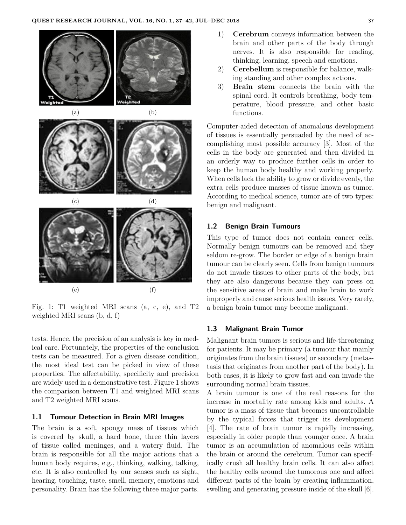

Fig. 1: T1 weighted MRI scans (a, c, e), and T2 weighted MRI scans (b, d, f)

tests. Hence, the precision of an analysis is key in medical care. Fortunately, the properties of the conclusion tests can be measured. For a given disease condition, the most ideal test can be picked in view of these properties. The affectability, specificity and precision are widely used in a demonstrative test. Figure 1 shows the comparison between T1 and weighted MRI scans and T2 weighted MRI scans.

#### **1.1 Tumour Detection in Brain MRI Images**

The brain is a soft, spongy mass of tissues which is covered by skull, a hard bone, three thin layers of tissue called meninges, and a watery fluid. The brain is responsible for all the major actions that a human body requires, e.g., thinking, walking, talking, etc. It is also controlled by our senses such as sight, hearing, touching, taste, smell, memory, emotions and personality. Brain has the following three major parts.

- 1) **Cerebrum** conveys information between the brain and other parts of the body through nerves. It is also responsible for reading, thinking, learning, speech and emotions.
- 2) **Cerebellum** is responsible for balance, walking standing and other complex actions.
- 3) **Brain stem** connects the brain with the spinal cord. It controls breathing, body temperature, blood pressure, and other basic functions.

Computer-aided detection of anomalous development of tissues is essentially persuaded by the need of accomplishing most possible accuracy [3]. Most of the cells in the body are generated and then divided in an orderly way to produce further cells in order to keep the human body healthy and working properly. When cells lack the ability to grow or divide evenly, the extra cells produce masses of tissue known as tumor. According to medical science, tumor are of two types: benign and malignant.

#### **1.2 Benign Brain Tumours**

This type of tumor does not contain cancer cells. Normally benign tumours can be removed and they seldom re-grow. The border or edge of a benign brain tumour can be clearly seen. Cells from benign tumours do not invade tissues to other parts of the body, but they are also dangerous because they can press on the sensitive areas of brain and make brain to work improperly and cause serious health issues. Very rarely, a benign brain tumor may become malignant.

#### **1.3 Malignant Brain Tumor**

Malignant brain tumors is serious and life-threatening for patients. It may be primary (a tumour that mainly originates from the brain tissues) or secondary (metastasis that originates from another part of the body). In both cases, it is likely to grow fast and can invade the surrounding normal brain tissues.

A brain tumour is one of the real reasons for the increase in mortality rate among kids and adults. A tumor is a mass of tissue that becomes uncontrollable by the typical forces that trigger its development [4]. The rate of brain tumor is rapidly increasing, especially in older people than younger once. A brain tumor is an accumulation of anomalous cells within the brain or around the cerebrum. Tumor can specifically crush all healthy brain cells. It can also affect the healthy cells around the tumorous one and affect different parts of the brain by creating inflammation, swelling and generating pressure inside of the skull [6].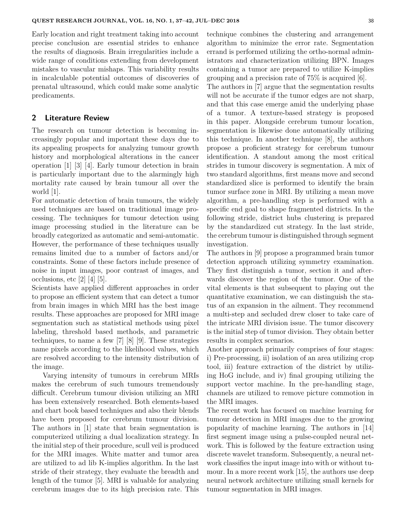Early location and right treatment taking into account precise conclusion are essential strides to enhance the results of diagnosis. Brain irregularities include a wide range of conditions extending from development mistakes to vascular mishaps. This variability results in incalculable potential outcomes of discoveries of prenatal ultrasound, which could make some analytic predicaments.

### **2 Literature Review**

The research on tumour detection is becoming increasingly popular and important these days due to its appealing prospects for analyzing tumour growth history and morphological alterations in the cancer operation [1] [3] [4]. Early tumour detection in brain is particularly important due to the alarmingly high mortality rate caused by brain tumour all over the world [1].

For automatic detection of brain tumours, the widely used techniques are based on traditional image processing. The techniques for tumour detection using image processing studied in the literature can be broadly categorized as automatic and semi-automatic. However, the performance of these techniques usually remains limited due to a number of factors and/or constraints. Some of these factors include presence of noise in input images, poor contrast of images, and occlusions, etc [2] [4] [5].

Scientists have applied different approaches in order to propose an efficient system that can detect a tumor from brain images in which MRI has the best image results. These approaches are proposed for MRI image segmentation such as statistical methods using pixel labeling, threshold based methods, and parametric techniques, to name a few [7] [8] [9]. These strategies name pixels according to the likelihood values, which are resolved according to the intensity distribution of the image.

Varying intensity of tumours in cerebrum MRIs makes the cerebrum of such tumours tremendously difficult. Cerebrum tumour division utilizing an MRI has been extensively researched. Both elements-based and chart book based techniques and also their blends have been proposed for cerebrum tumour division. The authors in [1] state that brain segmentation is computerized utilizing a dual localization strategy. In the initial step of their procedure, scull veil is produced for the MRI images. White matter and tumor area are utilized to ad lib K-implies algorithm. In the last stride of their strategy, they evaluate the breadth and length of the tumor [5]. MRI is valuable for analyzing cerebrum images due to its high precision rate. This technique combines the clustering and arrangement algorithm to minimize the error rate. Segmentation errand is performed utilizing the ortho-normal administrators and characterization utilizing BPN. Images containing a tumor are prepared to utilize K-implies grouping and a precision rate of 75% is acquired [6].

The authors in [7] argue that the segmentation results will not be accurate if the tumor edges are not sharp, and that this case emerge amid the underlying phase of a tumor. A texture-based strategy is proposed in this paper. Alongside cerebrum tumour location, segmentation is likewise done automatically utilizing this technique. In another technique [8], the authors propose a proficient strategy for cerebrum tumour identification. A standout among the most critical strides in tumour discovery is segmentation. A mix of two standard algorithms, first means move and second standardized slice is performed to identify the brain tumor surface zone in MRI. By utilizing a mean move algorithm, a pre-handling step is performed with a specific end goal to shape fragmented districts. In the following stride, district hubs clustering is prepared by the standardized cut strategy. In the last stride, the cerebrum tumour is distinguished through segment investigation.

The authors in [9] propose a programmed brain tumor detection approach utilizing symmetry examination. They first distinguish a tumor, section it and afterwards discover the region of the tumor. One of the vital elements is that subsequent to playing out the quantitative examination, we can distinguish the status of an expansion in the ailment. They recommend a multi-step and secluded drew closer to take care of the intricate MRI division issue. The tumor discovery is the initial step of tumor division. They obtain better results in complex scenarios.

Another approach primarily comprises of four stages: i) Pre-processing, ii) isolation of an area utilizing crop tool, iii) feature extraction of the district by utilizing HoG include, and iv) final grouping utilizing the support vector machine. In the pre-handling stage, channels are utilized to remove picture commotion in the MRI images.

The recent work has focused on machine learning for tumour detection in MRI images due to the growing popularity of machine learning. The authors in [14] first segment image using a pulse-coupled neural network. This is followed by the feature extraction using discrete wavelet transform. Subsequently, a neural network classifies the input image into with or without tumour. In a more recent work [15], the authors use deep neural network architecture utilizing small kernels for tumour segmentation in MRI images.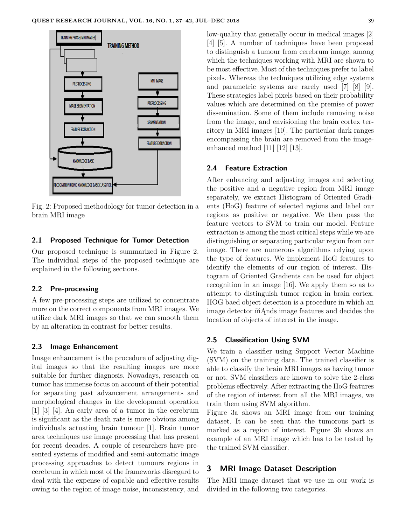

Fig. 2: Proposed methodology for tumor detection in a brain MRI image

#### **2.1 Proposed Technique for Tumor Detection**

Our proposed technique is summarized in Figure 2. The individual steps of the proposed technique are explained in the following sections.

#### **2.2 Pre-processing**

A few pre-processing steps are utilized to concentrate more on the correct components from MRI images. We utilize dark MRI images so that we can smooth them by an alteration in contrast for better results.

#### **2.3 Image Enhancement**

Image enhancement is the procedure of adjusting digital images so that the resulting images are more suitable for further diagnosis. Nowadays, research on tumor has immense focus on account of their potential for separating past advancement arrangements and morphological changes in the development operation [1] [3] [4]. An early area of a tumor in the cerebrum is significant as the death rate is more obvious among individuals actuating brain tumour [1]. Brain tumor area techniques use image processing that has present for recent decades. A couple of researchers have presented systems of modified and semi-automatic image processing approaches to detect tumours regions in cerebrum in which most of the frameworks disregard to deal with the expense of capable and effective results owing to the region of image noise, inconsistency, and low-quality that generally occur in medical images [2] [4] [5]. A number of techniques have been proposed to distinguish a tumour from cerebrum image, among which the techniques working with MRI are shown to be most effective. Most of the techniques prefer to label pixels. Whereas the techniques utilizing edge systems and parametric systems are rarely used [7] [8] [9]. These strategies label pixels based on their probability values which are determined on the premise of power dissemination. Some of them include removing noise from the image, and envisioning the brain cortex territory in MRI images [10]. The particular dark ranges encompassing the brain are removed from the imageenhanced method [11] [12] [13].

#### **2.4 Feature Extraction**

After enhancing and adjusting images and selecting the positive and a negative region from MRI image separately, we extract Histogram of Oriented Gradients (HoG) feature of selected regions and label our regions as positive or negative. We then pass the feature vectors to SVM to train our model. Feature extraction is among the most critical steps while we are distinguishing or separating particular region from our image. There are numerous algorithms relying upon the type of features. We implement HoG features to identify the elements of our region of interest. Histogram of Oriented Gradients can be used for object recognition in an image [16]. We apply them so as to attempt to distinguish tumor region in brain cortex. HOG baed object detection is a procedure in which an image detector ïňĄnds image features and decides the location of objects of interest in the image.

#### **2.5 Classification Using SVM**

We train a classifier using Support Vector Machine (SVM) on the training data. The trained classifier is able to classify the brain MRI images as having tumor or not. SVM classifiers are known to solve the 2-class problems effectively. After extracting the HoG features of the region of interest from all the MRI images, we train them using SVM algorithm.

Figure 3a shows an MRI image from our training dataset. It can be seen that the tumorous part is marked as a region of interest. Figure 3b shows an example of an MRI image which has to be tested by the trained SVM classifier.

## **3 MRI Image Dataset Description**

The MRI image dataset that we use in our work is divided in the following two categories.